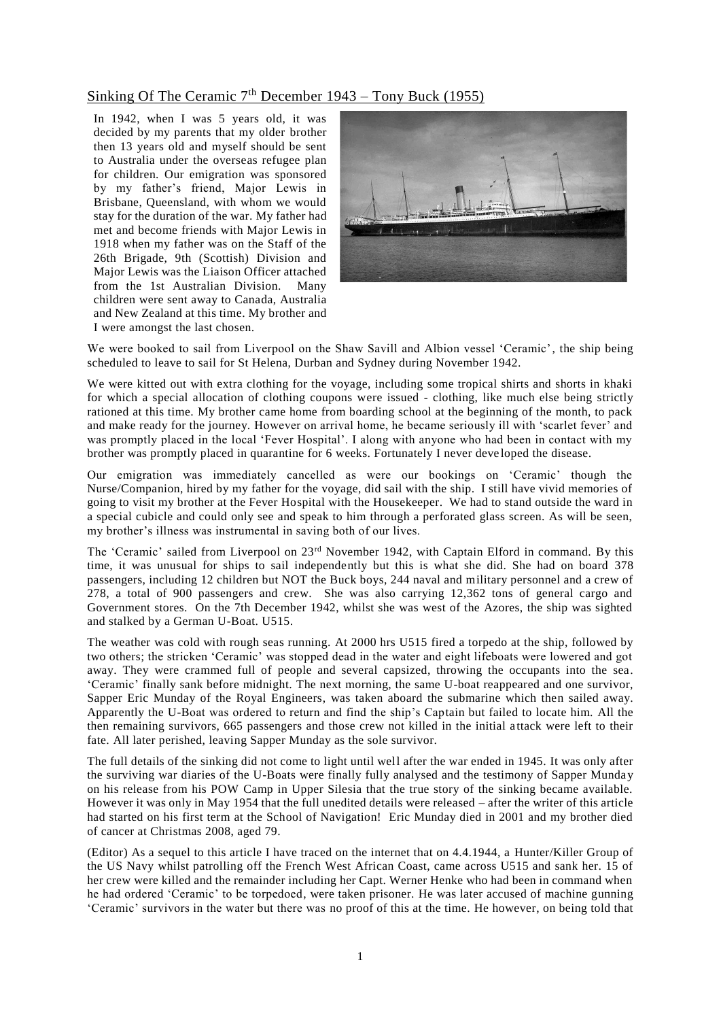## Sinking Of The Ceramic  $7<sup>th</sup>$  December 1943 – Tony Buck (1955)

In 1942, when I was 5 years old, it was decided by my parents that my older brother then 13 years old and myself should be sent to Australia under the overseas refugee plan for children. Our emigration was sponsored by my father's friend, Major Lewis in Brisbane, Queensland, with whom we would stay for the duration of the war. My father had met and become friends with Major Lewis in 1918 when my father was on the Staff of the 26th Brigade, 9th (Scottish) Division and Major Lewis was the Liaison Officer attached from the 1st Australian Division. Many children were sent away to Canada, Australia and New Zealand at this time. My brother and I were amongst the last chosen.



We were booked to sail from Liverpool on the Shaw Savill and Albion vessel 'Ceramic', the ship being scheduled to leave to sail for St Helena, Durban and Sydney during November 1942.

We were kitted out with extra clothing for the voyage, including some tropical shirts and shorts in khaki for which a special allocation of clothing coupons were issued - clothing, like much else being strictly rationed at this time. My brother came home from boarding school at the beginning of the month, to pack and make ready for the journey. However on arrival home, he became seriously ill with 'scarlet fever' and was promptly placed in the local 'Fever Hospital'. I along with anyone who had been in contact with my brother was promptly placed in quarantine for 6 weeks. Fortunately I never deve loped the disease.

Our emigration was immediately cancelled as were our bookings on 'Ceramic' though the Nurse/Companion, hired by my father for the voyage, did sail with the ship. I still have vivid memories of going to visit my brother at the Fever Hospital with the Housekeeper. We had to stand outside the ward in a special cubicle and could only see and speak to him through a perforated glass screen. As will be seen, my brother's illness was instrumental in saving both of our lives.

The 'Ceramic' sailed from Liverpool on 23<sup>rd</sup> November 1942, with Captain Elford in command. By this time, it was unusual for ships to sail independently but this is what she did. She had on board 378 passengers, including 12 children but NOT the Buck boys, 244 naval and military personnel and a crew of 278, a total of 900 passengers and crew. She was also carrying 12,362 tons of general cargo and Government stores. On the 7th December 1942, whilst she was west of the Azores, the ship was sighted and stalked by a German U-Boat. U515.

The weather was cold with rough seas running. At 2000 hrs U515 fired a torpedo at the ship, followed by two others; the stricken 'Ceramic' was stopped dead in the water and eight lifeboats were lowered and got away. They were crammed full of people and several capsized, throwing the occupants into the sea. 'Ceramic' finally sank before midnight. The next morning, the same U-boat reappeared and one survivor, Sapper Eric Munday of the Royal Engineers, was taken aboard the submarine which then sailed away. Apparently the U-Boat was ordered to return and find the ship's Captain but failed to locate him. All the then remaining survivors, 665 passengers and those crew not killed in the initial a ttack were left to their fate. All later perished, leaving Sapper Munday as the sole survivor.

The full details of the sinking did not come to light until well after the war ended in 1945. It was only after the surviving war diaries of the U-Boats were finally fully analysed and the testimony of Sapper Munday on his release from his POW Camp in Upper Silesia that the true story of the sinking became available. However it was only in May 1954 that the full unedited details were released – after the writer of this article had started on his first term at the School of Navigation! Eric Munday died in 2001 and my brother died of cancer at Christmas 2008, aged 79.

(Editor) As a sequel to this article I have traced on the internet that on 4.4.1944, a Hunter/Killer Group of the US Navy whilst patrolling off the French West African Coast, came across U515 and sank her. 15 of her crew were killed and the remainder including her Capt. Werner Henke who had been in command when he had ordered 'Ceramic' to be torpedoed, were taken prisoner. He was later accused of machine gunning 'Ceramic' survivors in the water but there was no proof of this at the time. He however, on being told that